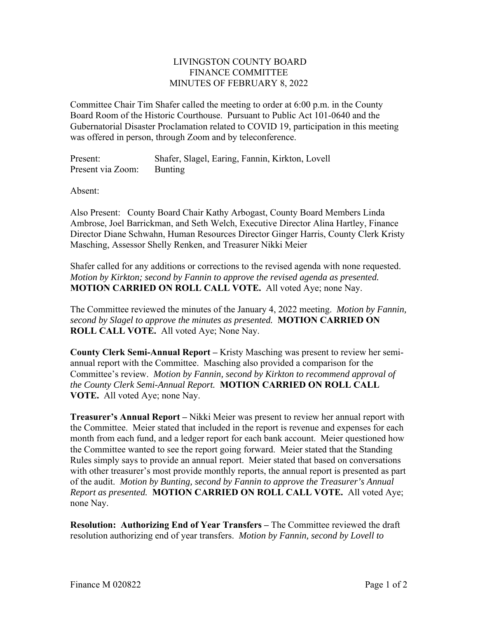## LIVINGSTON COUNTY BOARD FINANCE COMMITTEE MINUTES OF FEBRUARY 8, 2022

Committee Chair Tim Shafer called the meeting to order at 6:00 p.m. in the County Board Room of the Historic Courthouse. Pursuant to Public Act 101-0640 and the Gubernatorial Disaster Proclamation related to COVID 19, participation in this meeting was offered in person, through Zoom and by teleconference.

Present: Shafer, Slagel, Earing, Fannin, Kirkton, Lovell Present via Zoom: Bunting

Absent:

Also Present: County Board Chair Kathy Arbogast, County Board Members Linda Ambrose, Joel Barrickman, and Seth Welch, Executive Director Alina Hartley, Finance Director Diane Schwahn, Human Resources Director Ginger Harris, County Clerk Kristy Masching, Assessor Shelly Renken, and Treasurer Nikki Meier

Shafer called for any additions or corrections to the revised agenda with none requested. *Motion by Kirkton; second by Fannin to approve the revised agenda as presented.*  **MOTION CARRIED ON ROLL CALL VOTE.** All voted Aye; none Nay.

The Committee reviewed the minutes of the January 4, 2022 meeting. *Motion by Fannin, second by Slagel to approve the minutes as presented.* **MOTION CARRIED ON ROLL CALL VOTE.** All voted Aye; None Nay.

**County Clerk Semi-Annual Report –** Kristy Masching was present to review her semiannual report with the Committee. Masching also provided a comparison for the Committee's review. *Motion by Fannin, second by Kirkton to recommend approval of the County Clerk Semi-Annual Report.* **MOTION CARRIED ON ROLL CALL VOTE.** All voted Aye; none Nay.

**Treasurer's Annual Report –** Nikki Meier was present to review her annual report with the Committee. Meier stated that included in the report is revenue and expenses for each month from each fund, and a ledger report for each bank account. Meier questioned how the Committee wanted to see the report going forward. Meier stated that the Standing Rules simply says to provide an annual report. Meier stated that based on conversations with other treasurer's most provide monthly reports, the annual report is presented as part of the audit. *Motion by Bunting, second by Fannin to approve the Treasurer's Annual Report as presented.* **MOTION CARRIED ON ROLL CALL VOTE.** All voted Aye; none Nay.

**Resolution: Authorizing End of Year Transfers –** The Committee reviewed the draft resolution authorizing end of year transfers. *Motion by Fannin, second by Lovell to*